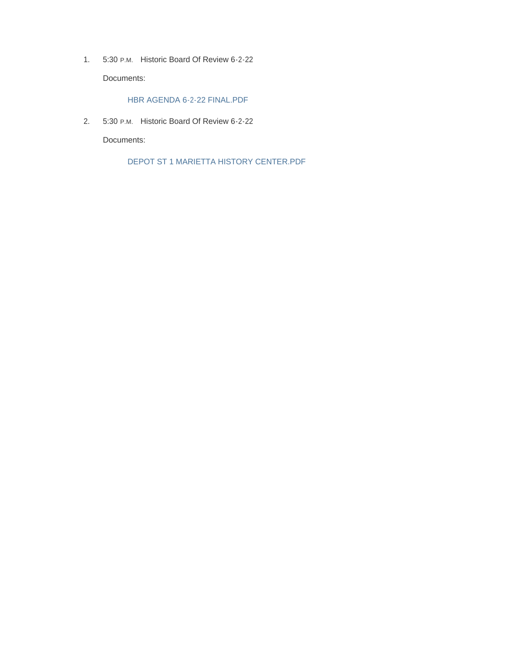1. 5:30 P.M. Historic Board Of Review 6-2-22 Documents:

HBR AGENDA 6-2-22 FINAL.PDF

2. 5:30 P.M. Historic Board Of Review 6-2-22

Documents:

DEPOT ST 1 MARIETTA HISTORY CENTER.PDF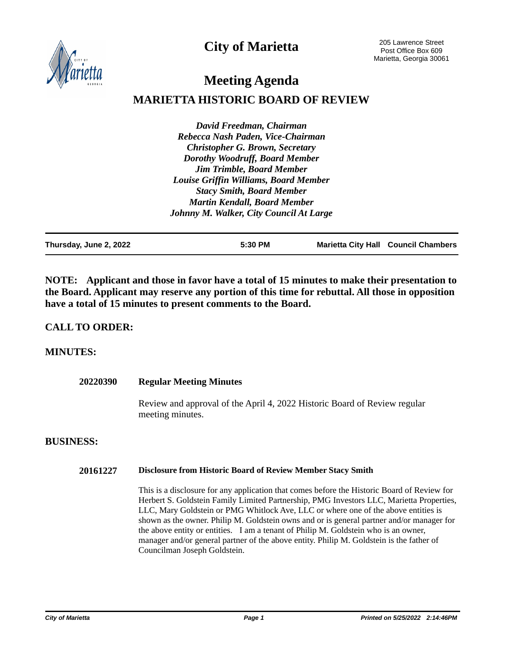**City of Marietta**



205 Lawrence Street Post Office Box 609 Marietta, Georgia 30061

# **Meeting Agenda**

## **MARIETTA HISTORIC BOARD OF REVIEW**

*David Freedman, Chairman Rebecca Nash Paden, Vice-Chairman Christopher G. Brown, Secretary Dorothy Woodruff, Board Member Jim Trimble, Board Member Louise Griffin Williams, Board Member Stacy Smith, Board Member Martin Kendall, Board Member Johnny M. Walker, City Council At Large*

| Thursday, June 2, 2022 | 5:30 PM | <b>Marietta City Hall Council Chambers</b> |
|------------------------|---------|--------------------------------------------|
|                        |         |                                            |

**NOTE: Applicant and those in favor have a total of 15 minutes to make their presentation to the Board. Applicant may reserve any portion of this time for rebuttal. All those in opposition have a total of 15 minutes to present comments to the Board.**

#### **CALL TO ORDER:**

#### **MINUTES:**

| 20220390         | <b>Regular Meeting Minutes</b>                                                                                                                                                                                                                                                                                                                                                                                                                                                                                                                                                                |  |
|------------------|-----------------------------------------------------------------------------------------------------------------------------------------------------------------------------------------------------------------------------------------------------------------------------------------------------------------------------------------------------------------------------------------------------------------------------------------------------------------------------------------------------------------------------------------------------------------------------------------------|--|
|                  | Review and approval of the April 4, 2022 Historic Board of Review regular<br>meeting minutes.                                                                                                                                                                                                                                                                                                                                                                                                                                                                                                 |  |
| <b>BUSINESS:</b> |                                                                                                                                                                                                                                                                                                                                                                                                                                                                                                                                                                                               |  |
| 20161227         | <b>Disclosure from Historic Board of Review Member Stacy Smith</b>                                                                                                                                                                                                                                                                                                                                                                                                                                                                                                                            |  |
|                  | This is a disclosure for any application that comes before the Historic Board of Review for<br>Herbert S. Goldstein Family Limited Partnership, PMG Investors LLC, Marietta Properties,<br>LLC, Mary Goldstein or PMG Whitlock Ave, LLC or where one of the above entities is<br>shown as the owner. Philip M. Goldstein owns and or is general partner and/or manager for<br>the above entity or entities. I am a tenant of Philip M. Goldstein who is an owner,<br>manager and/or general partner of the above entity. Philip M. Goldstein is the father of<br>Councilman Joseph Goldstein. |  |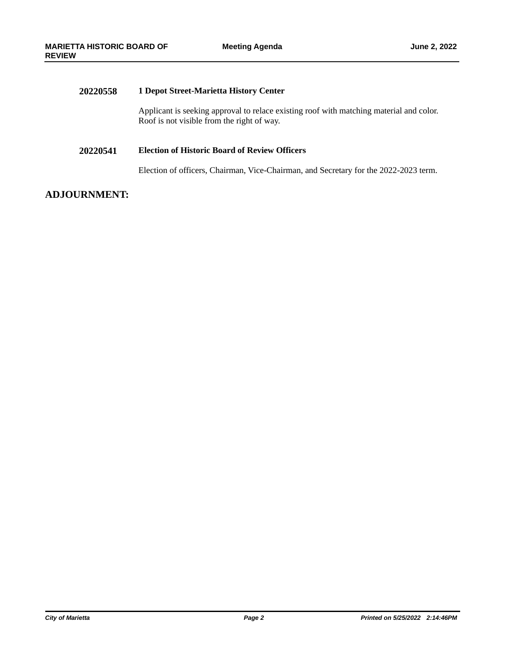| 20220558 | 1 Depot Street-Marietta History Center                                                                                                |
|----------|---------------------------------------------------------------------------------------------------------------------------------------|
|          | Applicant is seeking approval to relace existing roof with matching material and color.<br>Roof is not visible from the right of way. |
| 20220541 | <b>Election of Historic Board of Review Officers</b>                                                                                  |
|          | Election of officers, Chairman, Vice-Chairman, and Secretary for the 2022-2023 term.                                                  |
|          |                                                                                                                                       |

### **ADJOURNMENT:**